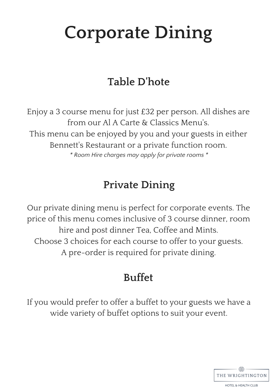# **Corporate Dining**

# **Table D'hote**

Enjoy a 3 course menu for just £32 per person. All dishes are from our Al A Carte & Classics Menu's. This menu can be enjoyed by you and your guests in either Bennett's Restaurant or a private function room. *\* Room Hire charges may apply for private rooms \**

## **Private Dining**

Our private dining menu is perfect for corporate events. The price of this menu comes inclusive of 3 course dinner, room hire and post dinner Tea, Coffee and Mints. Choose 3 choices for each course to offer to your guests. A pre-order is required for private dining.

# **Buffet**

If you would prefer to offer a buffet to your guests we have a wide variety of buffet options to suit your event.

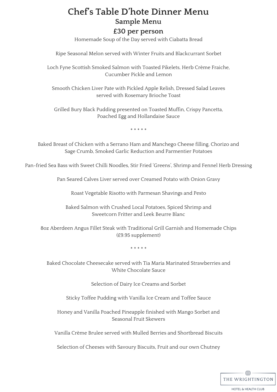### **Chef' s Table D'hote Dinner Menu Sample Menu**

#### **£30 per person**

Homemade Soup of the Day served with Ciabatta Bread

Ripe Seasonal Melon served with Winter Fruits and Blackcurrant Sorbet

Loch Fyne Scottish Smoked Salmon with Toasted Pikelets, Herb Crème Fraiche, Cucumber Pickle and Lemon

Smooth Chicken Liver Pate with Pickled Apple Relish, Dressed Salad Leaves served with Rosemary Brioche Toast

Grilled Bury Black Pudding presented on Toasted Muffin, Crispy Pancetta, Poached Egg and Hollandaise Sauce

\* \* \* \* \*

Baked Breast of Chicken with a Serrano Ham and Manchego Cheese filling, Chorizo and Sage Crumb, Smoked Garlic Reduction and Parmentier Potatoes

Pan-fried Sea Bass with Sweet Chilli Noodles, Stir Fried 'Greens', Shrimp and Fennel Herb Dressing

Pan Seared Calves Liver served over Creamed Potato with Onion Gravy

Roast Vegetable Risotto with Parmesan Shavings and Pesto

Baked Salmon with Crushed Local Potatoes, Spiced Shrimp and Sweetcorn Fritter and Leek Beurre Blanc

8oz Aberdeen Angus Fillet Steak with Traditional Grill Garnish and Homemade Chips (£9.95 supplement)

\* \* \* \* \*

Baked Chocolate Cheesecake served with Tia Maria Marinated Strawberries and White Chocolate Sauce

Selection of Dairy Ice Creams and Sorbet

Sticky Toffee Pudding with Vanilla Ice Cream and Toffee Sauce

Honey and Vanilla Poached Pineapple finished with Mango Sorbet and Seasonal Fruit Skewers

Vanilla Crème Brulee served with Mulled Berries and Shortbread Biscuits

Selection of Cheeses with Savoury Biscuits, Fruit and our own Chutney

 $\oplus$ THE WRIGHTINGTON

**HOTEL & HEALTH CLUB**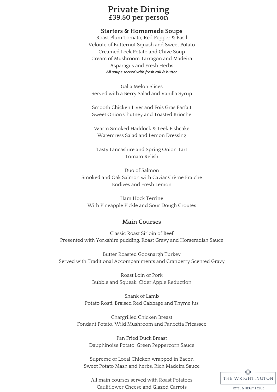### **Private Dining £39.50 per person**

#### **Starters & Homemade Soups**

Roast Plum Tomato, Red Pepper & Basil Veloute of Butternut Squash and Sweet Potato Creamed Leek Potato and Chive Soup Cream of Mushroom Tarragon and Madeira Asparagus and Fresh Herbs *All soups served with fresh roll & butter*

Galia Melon Slices Served with a Berry Salad and Vanilla Syrup

Smooth Chicken Liver and Fois Gras Parfait Sweet Onion Chutney and Toasted Brioche

Warm Smoked Haddock & Leek Fishcake Watercress Salad and Lemon Dressing

Tasty Lancashire and Spring Onion Tart Tomato Relish

Duo of Salmon Smoked and Oak Salmon with Caviar Crème Fraiche Endives and Fresh Lemon

Ham Hock Terrine With Pineapple Pickle and Sour Dough Croutes

#### **Main Courses**

Classic Roast Sirloin of Beef Presented with Yorkshire pudding, Roast Gravy and Horseradish Sauce

Butter Roasted Goosnargh Turkey Served with Traditional Accompaniments and Cranberry Scented Gravy

> Roast Loin of Pork Bubble and Squeak, Cider Apple Reduction

Shank of Lamb Potato Rosti, Braised Red Cabbage and Thyme Jus

Chargrilled Chicken Breast Fondant Potato, Wild Mushroom and Pancetta Fricassee

Pan Fried Duck Breast Dauphinoise Potato, Green Peppercorn Sauce

Supreme of Local Chicken wrapped in Bacon Sweet Potato Mash and herbs, Rich Madeira Sauce

All main courses served with Roast Potatoes Cauliflower Cheese and Glazed Carrots



**HOTEL & HEALTH CLUB**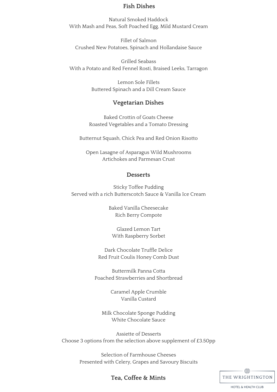#### **Fish Dishes**

Natural Smoked Haddock With Mash and Peas, Soft Poached Egg, Mild Mustard Cream

Fillet of Salmon Crushed New Potatoes, Spinach and Hollandaise Sauce

Grilled Seabass With a Potato and Red Fennel Rosti, Braised Leeks, Tarragon

> Lemon Sole Fillets Buttered Spinach and a Dill Cream Sauce

#### **Vegetarian Dishes**

Baked Crottin of Goats Cheese Roasted Vegetables and a Tomato Dressing

Butternut Squash, Chick Pea and Red Onion Risotto

Open Lasagne of Asparagus Wild Mushrooms Artichokes and Parmesan Crust

#### **Desserts**

Sticky Toffee Pudding Served with a rich Butterscotch Sauce & Vanilla Ice Cream

> Baked Vanilla Cheesecake Rich Berry Compote

Glazed Lemon Tart With Raspberry Sorbet

Dark Chocolate Truffle Delice Red Fruit Coulis Honey Comb Dust

Buttermilk Panna Cotta Poached Strawberries and Shortbread

> Caramel Apple Crumble Vanilla Custard

Milk Chocolate Sponge Pudding White Chocolate Sauce

Assiette of Desserts Choose 3 options from the selection above supplement of £3.50pp

> Selection of Farmhouse Cheeses Presented with Celery, Grapes and Savoury Biscuits

> > $\bigoplus$ THE WRIGHTINGTON

> > > **HOTEL & HEALTH CLUB**

**Tea, Coffee & Mints**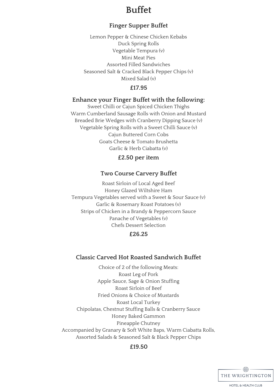### **Buffet**

### **Finger Supper Buffet**

Lemon Pepper & Chinese Chicken Kebabs Duck Spring Rolls Vegetable Tempura (v) Mini Meat Pies Assorted Filled Sandwiches Seasoned Salt & Cracked Black Pepper Chips (v) Mixed Salad (v)

#### **£17.95**

#### **Enhance your Finger Buffet with the following:**

Sweet Chilli or Cajun Spiced Chicken Thighs Warm Cumberland Sausage Rolls with Onion and Mustard Breaded Brie Wedges with Cranberry Dipping Sauce (v) Vegetable Spring Rolls with a Sweet Chilli Sauce (v) Cajun Buttered Corn Cobs Goats Cheese & Tomato Brushetta Garlic & Herb Ciabatta (v)

#### **£2.50 per item**

#### **Two Course Carvery Buffet**

Roast Sirloin of Local Aged Beef Honey Glazed Wiltshire Ham Tempura Vegetables served with a Sweet & Sour Sauce (v) Garlic & Rosemary Roast Potatoes (v) Strips of Chicken in a Brandy & Peppercorn Sauce Panache of Vegetables (v) Chefs Dessert Selection

#### **£26.25**

#### **Classic Carved Hot Roasted Sandwich Buffet**

Choice of 2 of the following Meats: Roast Leg of Pork Apple Sauce, Sage & Onion Stuffing Roast Sirloin of Beef Fried Onions & Choice of Mustards Roast Local Turkey Chipolatas, Chestnut Stuffing Balls & Cranberry Sauce Honey Baked Gammon Pineapple Chutney Accompanied by Granary & Soft White Baps, Warm Ciabatta Rolls, Assorted Salads & Seasoned Salt & Black Pepper Chips

#### **£19.50**